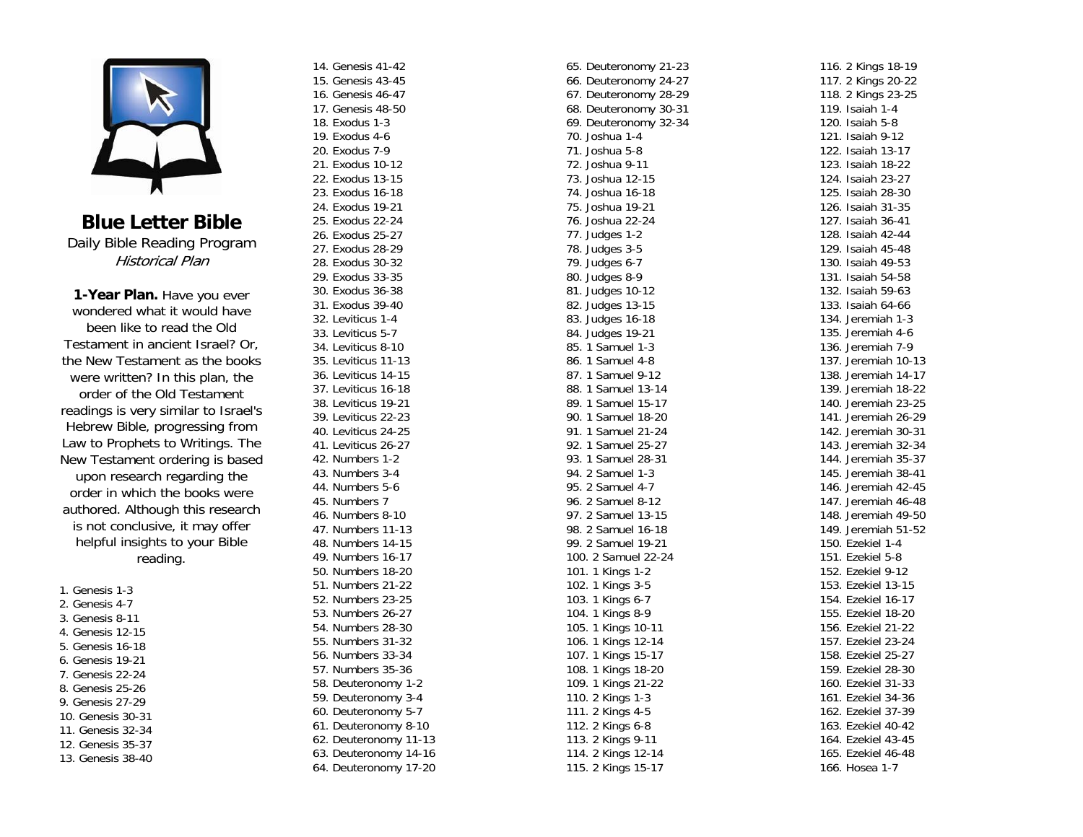

**Blue Letter Bible** Daily Bible Reading Program Historical Plan

**1-Year Plan.** Have you ever wondered what it would have been like to read the Old Testament in ancient Israel? Or, the New Testament as the books were written? In this plan, the order of the Old Testament readings is very similar to Israel's Hebrew Bible, progressing from Law to Prophets to Writings. The New Testament ordering is based upon research regarding the order in which the books were authored. Although this research is not conclusive, it may offer helpful insights to your Bible reading.

1. Genesis 1-3 2. Genesis 4-7 3. Genesis 8-11 4. Genesis 12-15 5. Genesis 16-18 6. Genesis 19-21 7. Genesis 22-24 8. Genesis 25-26 9. Genesis 27-29 10. Genesis 30-31 11. Genesis 32-34 12. Genesis 35-37 13. Genesis 38-40 14. Genesis 41-42 15. Genesis 43-45 16. Genesis 46-47 17. Genesis 48-50 18. Exodus 1-3 19. Exodus 4-6 20. Exodus 7-9 21. Exodus 10-12 22. Exodus 13-15 23. Exodus 16-18 24. Exodus 19-21 25. Exodus 22-24 26. Exodus 25-27 27. Exodus 28-29 28. Exodus 30-32 29. Exodus 33-35 30. Exodus 36-38 31. Exodus 39-40 32. Leviticus 1-4 33. Leviticus 5-7 34. Leviticus 8-10 35. Leviticus 11-13 36. Leviticus 14-15 37. Leviticus 16-18 38. Leviticus 19-21 39. Leviticus 22-23 40. Leviticus 24-25 41. Leviticus 26-27 42. Numbers 1-2 43. Numbers 3-4 44. Numbers 5-6 45. Numbers 7 46. Numbers 8-10 47. Numbers 11-13 48. Numbers 14-15 49. Numbers 16-17 50. Numbers 18-20 51. Numbers 21-22 52. Numbers 23-25 53. Numbers 26-27 54. Numbers 28-30 55. Numbers 31-32 56. Numbers 33-34 57. Numbers 35-36 58. Deuteronomy 1-2 59. Deuteronomy 3-4 60. Deuteronomy 5-7 61. Deuteronomy 8-10 62. Deuteronomy 11-13 63. Deuteronomy 14-16 64. Deuteronomy 17-20

65. Deuteronomy 21-23 66. Deuteronomy 24-27 67. Deuteronomy 28-29 68. Deuteronomy 30-31 69. Deuteronomy 32-34 70. Joshua 1-4 71. Joshua 5-8 72. Joshua 9-11 73. Joshua 12-15 74. Joshua 16-18 75. Joshua 19-21 76. Joshua 22-24 77. Judges 1-2 78. Judges 3-5 79. Judges 6-7 80. Judges 8-9 81. Judges 10-12 82. Judges 13-15 83. Judges 16-18 84. Judges 19-21 85. 1 Samuel 1-3 86. 1 Samuel 4-8 87. 1 Samuel 9-12 88. 1 Samuel 13-14 89. 1 Samuel 15-17 90. 1 Samuel 18-20 91. 1 Samuel 21-24 92. 1 Samuel 25-27 93. 1 Samuel 28-31 94. 2 Samuel 1-3 95. 2 Samuel 4-7 96. 2 Samuel 8-12 97. 2 Samuel 13-15 98. 2 Samuel 16-18 99. 2 Samuel 19-21 100. 2 Samuel 22-24 101. 1 Kings 1-2 102. 1 Kings 3-5 103. 1 Kings 6-7 104. 1 Kings 8-9 105. 1 Kings 10-11 106. 1 Kings 12-14 107. 1 Kings 15-17 108. 1 Kings 18-20 109. 1 Kings 21-22 110. 2 Kings 1-3 111. 2 Kings 4-5 112. 2 Kings 6-8 113. 2 Kings 9-11 114. 2 Kings 12-14 115. 2 Kings 15-17

116. 2 Kings 18-19 117. 2 Kings 20-22 118. 2 Kings 23-25 119. Isaiah 1-4 120. Isaiah 5-8 121. Isaiah 9-12 122. Isaiah 13-17 123. Isaiah 18-22 124. Isaiah 23-27 125. Isaiah 28-30 126. Isaiah 31-35 127. Isaiah 36-41 128. Isaiah 42-44 129. Isaiah 45-48 130. Isaiah 49-53 131. Isaiah 54-58 132. Isaiah 59-63 133. Isaiah 64-66 134. Jeremiah 1-3 135. Jeremiah 4-6 136. Jeremiah 7-9 137. Jeremiah 10-13 138. Jeremiah 14-17 139. Jeremiah 18-22 140. Jeremiah 23-25 141. Jeremiah 26-29 142. Jeremiah 30-31 143. Jeremiah 32-34 144. Jeremiah 35-37 145. Jeremiah 38-41 146. Jeremiah 42-45 147. Jeremiah 46-48 148. Jeremiah 49-50 149. Jeremiah 51-52 150. Ezekiel 1-4 151. Ezekiel 5-8 152. Ezekiel 9-12 153. Ezekiel 13-15 154. Ezekiel 16-17 155. Ezekiel 18-20 156. Ezekiel 21-22 157. Ezekiel 23-24 158. Ezekiel 25-27 159. Ezekiel 28-30 160. Ezekiel 31-33 161. Ezekiel 34-36 162. Ezekiel 37-39 163. Ezekiel 40-42 164. Ezekiel 43-45 165. Ezekiel 46-48 166. Hosea 1-7